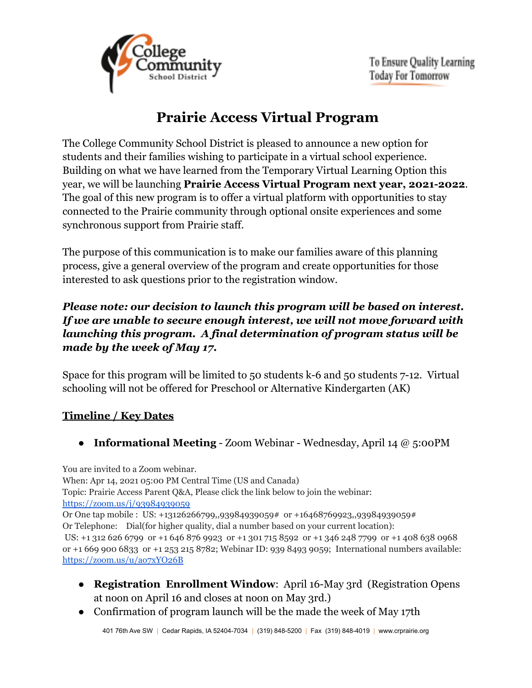

# **Prairie Access Virtual Program**

The College Community School District is pleased to announce a new option for students and their families wishing to participate in a virtual school experience. Building on what we have learned from the Temporary Virtual Learning Option this year, we will be launching **Prairie Access Virtual Program next year, 2021-2022**. The goal of this new program is to offer a virtual platform with opportunities to stay connected to the Prairie community through optional onsite experiences and some synchronous support from Prairie staff.

The purpose of this communication is to make our families aware of this planning process, give a general overview of the program and create opportunities for those interested to ask questions prior to the registration window.

## *Please note: our decision to launch this program will be based on interest. If we are unable to secure enough interest, we will not move forward with launching this program. A final determination of program status will be made by the week of May 17.*

Space for this program will be limited to 50 students k-6 and 50 students 7-12. Virtual schooling will not be offered for Preschool or Alternative Kindergarten (AK)

# **Timeline / Key Dates**

● **Informational Meeting** - Zoom Webinar - Wednesday, April 14 @ 5:00PM

You are invited to a Zoom webinar. When: Apr 14, 2021 05:00 PM Central Time (US and Canada) Topic: Prairie Access Parent Q&A, Please click the link below to join the webinar: <https://zoom.us/j/93984939059> Or One tap mobile : US: +13126266799,,93984939059# or +16468769923,,93984939059# Or Telephone: Dial(for higher quality, dial a number based on your current location): US: +1 312 626 6799 or +1 646 876 9923 or +1 301 715 8592 or +1 346 248 7799 or +1 408 638 0968 or +1 669 900 6833 or +1 253 215 8782; Webinar ID: 939 8493 9059; International numbers available: <https://zoom.us/u/ao7xYO26B>

- **Registration Enrollment Window**: April 16-May 3rd (Registration Opens at noon on April 16 and closes at noon on May 3rd.)
- **●** Confirmation of program launch will be the made the week of May 17th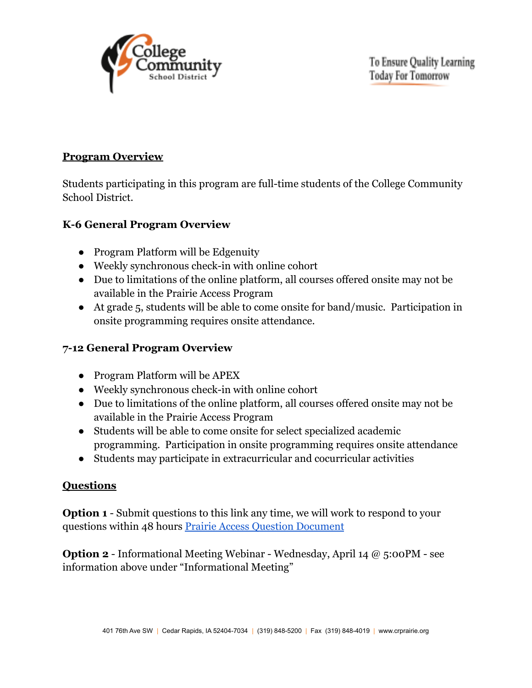

To Ensure Quality Learning **Today For Tomorrow** 

#### **Program Overview**

Students participating in this program are full-time students of the College Community School District.

## **K-6 General Program Overview**

- Program Platform will be Edgenuity
- Weekly synchronous check-in with online cohort
- Due to limitations of the online platform, all courses offered onsite may not be available in the Prairie Access Program
- At grade 5, students will be able to come onsite for band/music. Participation in onsite programming requires onsite attendance.

## **7-12 General Program Overview**

- Program Platform will be APEX
- Weekly synchronous check-in with online cohort
- Due to limitations of the online platform, all courses offered onsite may not be available in the Prairie Access Program
- Students will be able to come onsite for select specialized academic programming. Participation in onsite programming requires onsite attendance
- Students may participate in extracurricular and cocurricular activities

#### **Questions**

**Option 1** - Submit questions to this link any time, we will work to respond to your questions within 48 hours [Prairie Access Question](https://forms.gle/gdXiqxN12xttQAnL8) Document

**Option 2** - Informational Meeting Webinar - Wednesday, April 14 @ 5:00PM - see information above under "Informational Meeting"